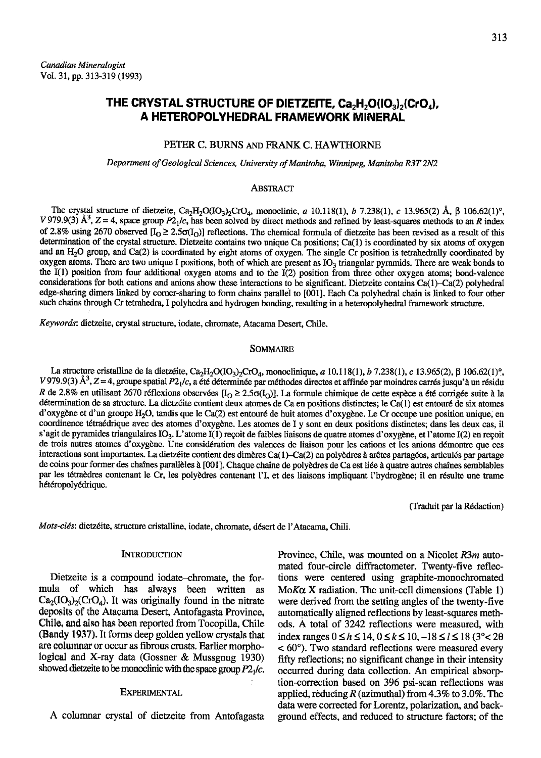# THE CRYSTAL STRUCTURE OF DIETZEITE,  $Ca_2H_2O(IO_3)_2(CrO_4),$ A HETEROPOLYHEDRAL FRAMEWORK MINERAL

# PETER C. BURNS AND FRANK C. HAWTHORNE

Department of Geological Sciences, University of Manitoba, Winnipeg, Manitoba R3T 2N2

#### **ABSTRACT**

The crystal structure of dietzeite, Ca<sub>2</sub>H<sub>2</sub>O(IO<sub>3</sub>)<sub>2</sub>CrO<sub>4</sub>, monoclinic, a 10.118(1), b 7.238(1), c 13.965(2) Å,  $\beta$  106.62(1)°, V 979.9(3)  $\hat{A}^3$ , Z = 4, space group  $P2_1/c$ , has been solved by direct methods and refined by least-squares methods to an R index of 2.8% using 2670 observed  $[I_0 \geq 2.5\sigma(I_0)]$  reflections. The chemical formula of dietzeite has been revised as a result of this determination of the crystal structure. Dietzeite contains two unique Ca positions; Ca(1) is coordinated by six atoms of oxygen and an  $H_2O$  group, and Ca(2) is coordinated by eight atoms of oxygen. The single Cr position is tetrahedrally coordinated by oxygen atoms. There are two unique I positions, both of which are present as  $IO<sub>3</sub>$  triangular pyramids. There are weak bonds to the I(l) position from four additional oxygen atoms and to the I(2) position from three other oxygen atoms; bond-valence considerations for both cations and anions show these interactions to be significant. Dietzeite contains Ca(1)–Ca(2) polyhedral edge-sharing dimers linked by corner-sharing to form chains parallel to [001]. Each Ca polyhedral chain is linked to four other such chains through Cr tetrahedra, I polyhedra and hydrogen bonding, resulting in a heteropolyhedral framework structure.

Keywords; dietzeite, crystal srructure, iodate, chromate, Atacama Desert, Chile.

#### SOMMAIRE

La structure cristalline de la dietzéite, Ca<sub>2</sub>H<sub>2</sub>O(IO<sub>3</sub>)<sub>2</sub>CrO<sub>4</sub>, monoclinique, a 10.118(1), b 7.238(1), c 13.965(2),  $\beta$  106.62(1)<sup>o</sup>, V 979.9(3)  $\AA$ <sup>3</sup>, Z = 4, groupe spatial P2<sub>1</sub>/c, a ete déterminée par méthodes directes et affinée par moindres carrés jusqu'à un résidu R de 2.8% en utilisant 2670 réflexions observées [I<sub>O</sub> ≥ 2.5 $\sigma(I_0)$ ]. La formule chimique de cette espèce a été corrigée suite à la détermination de sa structure. La dietzéite contient deux atomes de Ca en positions distinctes; le Ca(1) est entouré de six atomes d'oxygène et d'un groupe H<sub>2</sub>O, tandis que le Ca(2) est entouré de huit atomes d'oxygène. Le Cr occupe une position unique, en coordinence tétraédrique avec des atomes d'oxygène. Les atomes de I y sont en deux positions distinctes; dans les deux cas, il s'agit de pyramides triangulaires IO<sub>3</sub>. L'atome I(1) reçoit de faibles liaisons de quatre atomes d'oxygène, et l'atome I(2) en reçoit de trois autres atomes d'oxygène. Une considération des valences de liaison pour les cations et les anions démontre que ces interactions sont importantes. La dietzéite contient des dimères Ca(1)-Ca(2) en polyèdres à arêtes partagées, articulés par partage de coins pour former des chaînes parallèles à [001]. Chaque chaîne de polyèdres de Ca est liée à quatre autres chaînes semblables par les tétraèdres contenant le Cr, les polyèdres contenant l'I, et des liaisons impliquant l'hydrogène; il en résulte une trame hétéropolyédrique.

(Iraduit par la R6daction)

Mots-clés: dietzéite, structure cristalline, iodate, chromate, désert de l'Atacama, Chili.

#### **INTRODUCTION**

Dietzeite is a compound iodate-chromate, the formula of which has always been written as  $Ca_2(IO_3)_2(CrO_4)$ . It was originally found in the nitrate deposits of the Atacama Desert, Antofagasta Province, Chile, and also has been reported from Tocopilla, Chile (Bandy 1937). It forms deep golden yellow crystals that are columnar or occur as fibrous crusts. Earlier morphological and X-ray data (Gossner & Mussgnug 1930) showed dietzeite to be monoclinic with the space group  $P2<sub>1</sub>/c$ .

## **EXPERIMENTAL**

A columnar crystal of dietzeite from Antofagasta

Province, Chile, was mounted on a Nicolet  $R3m$  automated four-circle diffractometer. Twenty-five reflections were centered using graphite-monochromaled  $M\no K\alpha$  X radiation. The unit-cell dimensions (Table 1) were derived from the setting angles of the twenty-five automatically aligned reflections by least-squares methods. A total of 3242 reflections were measured, with index ranges  $0 \le h \le 14$ ,  $0 \le k \le 10$ ,  $-18 \le l \le 18$  (3° < 20  $< 60^{\circ}$ ). Two standard reflections were measured every fifly reflections; no significant change in their intensity occured during data collection. An empirical absorption-correction based on 396 psi-scan reflections was applied, reducing R (azimuthal) from 4.3% to 3.0%. The data were corrected for Lorentz, polarization, and background effects, and reduced to structure factors; of the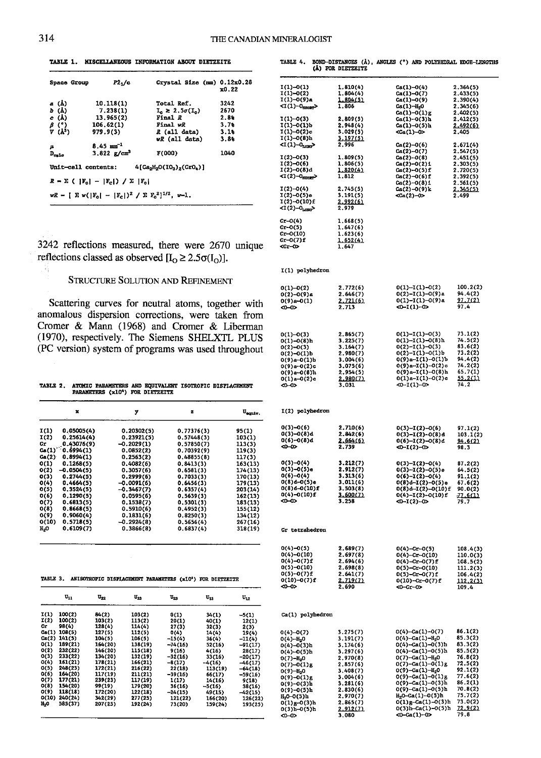TABLE 1. MISCELLANEOUS INFORMATION ABOUT DIETZEITE

| Space Group                  | P2,/c                                          | Crystal Size (mm) 0.12x0.28                                 | x0.22  |
|------------------------------|------------------------------------------------|-------------------------------------------------------------|--------|
| a (Å)                        | 10.118(1)                                      | Total Ref.                                                  | 3242   |
| b (Å)                        | 7.238(1)                                       | $L \geq 2.5\sigma(L)$                                       | 2670   |
| c (A)                        | 13.965(2)                                      | Final R                                                     | $2.8*$ |
| $\beta$ (*)                  | 106.62(1)                                      | Final wR                                                    | 3.78   |
| $V(A^3)$                     | 979.9(3)                                       | R (all data)                                                | 3.18   |
|                              |                                                | wk (all data)                                               | 3.88   |
| μ                            | $8.45 \text{ m}^{-1}$                          |                                                             |        |
| $\mathtt{D}_{\mathtt{exlo}}$ | 3.822 $\frac{g}{cm^3}$                         | F(000)                                                      | 1040   |
| Unit-cell contents:          |                                                | $4[Ca2H2O(103)2(Cr04)]$                                     |        |
|                              | $R = \sum (  F_{c}  -  F_{c} ) / \sum  F_{c} $ |                                                             |        |
|                              |                                                | $wR = [\sum w( F_0  -  F_0 )^2] / \sum F_0^2]^{1/2}$ , w-1. |        |

3242 reflections measured, there were 2670 unique reflections classed as observed  $[I_0 \ge 2.5\sigma(I_0)].$ 

#### **STRUCTURE SOLUTION AND REFINEMENT**

Scattering curves for neutral atoms, together with anomalous dispersion corrections, were taken from Cromer & Mann (1968) and Cromer & Liberman (1970), respectively. The Siemens SHELXTL PLUS (PC version) system of programs was used throughout

TABLE 2. ATOMIC PARAMETERS AND EQUIVALENT ISOTROPIC DISPLACEMENT PARAMETERS (x10<sup>4</sup>) FOR DIETZEITE

|                 | ×            | у            | z          | Usenty. |
|-----------------|--------------|--------------|------------|---------|
| I(1)            | 0.05005(4)   | 0.20302(5)   | 0.77376(3) | 95(1)   |
| I(2)            | 0.25614(4)   | 0.23921(5)   | 0.57448(3) | 103(1)  |
| Сr              | 0.43076(9)   | $-0.2029(1)$ | 0.57850(7) | 113(3)  |
| Ca(1)           | 0.6994(1)    | 0.0852(2)    | 0.70392(9) | 119(3)  |
| Ca(2)           | 0.8994(1)    | 0.2563(2)    | 0.48855(8) | 117(3)  |
| O(1)            | 0.1268(5)    | 0.4082(6)    | 0.8413(3)  | 163(13) |
| O(2)            | $-0.0504(5)$ | 0.3057(6)    | 0.6581(3)  | 174(13) |
| O(3)            | 0.2744(5)    | 0.2999(6)    | 0.7033(3)  | 170(13) |
| O(4)            | 0.4664(5)    | $-0.0091(6)$ | 0.6456(3)  | 179(13) |
| O(5)            | 0.3524(5)    | $-0.3467(7)$ | 0.6357(4)  | 203(14) |
| O(6)            | 0.1290(5)    | 0.0595(6)    | 0.5639(3)  | 162(13) |
| 0(7)            | 0.6813(5)    | 0.1538(7)    | 0.5301(3)  | 183(13) |
| O(8)            | 0.8668(5)    | 0.5910(6)    | 0.4952(3)  | 155(12) |
| O(9)            | 0.9060(4)    | 0.1831(6)    | 0.8250(3)  | 134(12) |
| O(10)           | 0.5718(5)    | $-0.2924(8)$ | 0.5656(4)  | 267(16) |
| $_{\rm H_{2}O}$ | 0.6109(7)    | 0.3866(8)    | 0.6837(4)  | 318(19) |
|                 |              |              |            |         |

TABLE 3. ANISOTROPIC DISPLACEMENT PARAMETERS (x10<sup>4</sup>) FOR DIETZEITE

|                  | $\mathbf{u}_{11}$ | $\mathbf{u}_{\mathbf{z}\mathbf{z}}$ | $\mathbf{u}_{\mathbf{m}}$ | $\mathtt{u}_{\mathtt{ss}}$ | $\mathbf{u}_{12}$ | $\mathbf{u}_{12}$ |
|------------------|-------------------|-------------------------------------|---------------------------|----------------------------|-------------------|-------------------|
| I(1)             | 100(2)            | 84(2)                               | 103(2)                    | 0(1)                       | 34(1)             | $-5(1)$           |
| I(2)             | 100(2)            | 103(2)                              | 113(2)                    | 20(1)                      | 40(1)             | 12(1)             |
| Cr               | 98(4)             | 128(4)                              | 114(4)                    | 27(3)                      | 32(3)             | 2(3)              |
| Ca(1)            | 108(5)            | 127(5)                              | 112(5)                    | O(4)                       | 14(4)             | 19(4)             |
| Ca(2)            | 141(5)            | 104(5)                              | 106(5)                    | $-15(4)$                   | 36(4)             | $-11(4)$          |
| 0(1)             | 189(21)           | 164(20)                             | 138(19)                   | $-74(16)$                  | 52(16)            | $-91(17)$         |
| O(2)             | 232(22)           | 146(20)                             | 115(18)                   | 9(16)                      | 4(16)             | 28(17)            |
| O(3)             | 233(22)           | 134(20)                             | 132(19)                   | $-32(16)$                  | 33(16)            | $-20(17)$         |
| O(4)             | 151(21)           | 178(21)                             | 166(21)                   | $-8(17)$                   | $-4(16)$          | $-46(17)$         |
| O(5)             | 248(23)           | 172(21)                             | 216(22)                   | 22(18)                     | 113(19)           | $-64(18)$         |
| 0(6)             | 164(20)           | 117(19)                             | 211(21)                   | $-39(16)$                  | 66(17)            | $-59(16)$         |
| O(7)             | 177(21)           | 239(23)                             | 117(19)                   | 1(17)                      | 14(16)            | 9(18)             |
| O(8)             | 154(20)           | 99(19)                              | 179(20)                   | 36(16)                     | $-5(16)$          | 38(16)            |
| O(9)             | 118(18)           | 172(20)                             | 122(18)                   | $-24(15)$                  | 49(15)            | $-42(15)$         |
| 0(10)            | 240(24)           | 342(29)                             | 277(25)                   | 121(22)                    | 166(20)           | 126(22)           |
| H <sub>2</sub> O | 585(37)           | 207(25)                             | 192(24)                   | 73(20)                     | 159(24)           | 193(25)           |

(Å) FOR DIETZEITE I(1)-0(1)<br>I(1)-0(2)<br>I(1)-0(9)a  $Ca(1)-O(4)$ <br> $Ca(1)-O(7)$ <br> $Ca(1)-O(9)$  $1.810(4)$  $2.364(5)$  $1.804(4)$ <br> $1.804(5)$  $2.433(5)$  $2.390(4)$  $Ca(1)-0(9)$ <br>  $Ca(1)-R_2$ <br>  $Ca(1)-0(1)g$ <br>  $Ca(1)-0(3)h$ <br>  $Ga(1)-0(5)h$  $\alpha(1)-0_{\text{SHOZZ}}$ 1,806  $2.345(6)$  $2.402(5)$  $1(1)-0(3)$ <br> $1(1)-0(1)b$ <br> $1(1)-0(2)c$  $2,809(5)$  $2.412(5)$  $2.948(4)$ 2.492(6)  $3.029(5)$ 2.405  $<sub>Ca</sub>(1)-0>$ </sub>  $1(1) - 0(8)h$  $\frac{3.197(5)}{2.996}$ Ca(2)-0(6)<br>Ca(2)-0(7)<br>Ca(2)-0(8)<br>Ca(2)-0(2)1<br>Ca(2)-0(6)f<br>Ca(2)-0(8)1  $\langle 1(1)-0_{\text{max}} \rangle$  $2.671(4)$  $2.547(5)$ <br>2.451(5)  $I(2)-O(3)$  $1.809(5)$  $I(2) - O(6)$ <br> $I(2) - O(8)$ d  $1.806(5)$ <br> $1.820(4)$  $2.303(5)$ <br>2.720(5)  $<$ i(2)-0smm 1.812  $2.392(5)$ <br>2.561(5) I(2)-0(4)<br>I(2)-0(5)e<br>I(2)-0(10)f  $2.745(5)$  $Ca(2) - O(9)k$  $345(5)$  $2.345$ <br>2.499  $2.745(5)$ <br>3.191(5)<br>2.992(6)  $<$ Ga $(2)-0$  $< I(2)-0$ <sub>1</sub>  $1,668(5)$  $Cr - 0(4)$  $Gr - O(5)$ <br> $Gr - O(10)$  $1.647(6)$ <br> $1.623(6)$  $Cr-0(7)$ f  $1.652(4)$ 1.647  $C - C$ I(1) polyhedron  $0(1)-0(2)$ <br> $0(2)-0(9)a$ <br> $0(9)a-0(1)$  $0(1)-1(1)-0(2)$ <br> $0(2)-1(1)-0(9)a$ <br> $0(1)-1(1)-0(9)a$  $2.772(6)$ <br>2.646(7)  $100.2(2)$  $94.4(2)$ 2.721(6)  $\frac{97.7(2)}{97.4}$  $\frac{1}{20}$   $1(1)$  -0> ക്ക 2.713  $0(1)-1(1)-0(3)$ <br>  $0(1)-1(1)-0(8)h$ <br>  $0(2)-1(1)-0(3)$ <br>  $0(2)-1(1)-0(1)h$  $0(1)-0(3)$ <br>0(1)-0(8)h<br>0(2)-0(3)  $2.865(7)$  $73.1(2)$  $3.225(7)$ <br>3.164(7)  $74.5(2)$  $\frac{6}{2}$ <br> $\frac{6}{2}$ <br> $\frac{2}{2}$ <br> $\frac{2}{2}$  $0(2)-0(1)b$ <br> $0(9)a-0(1)b$  $2.980(7)$  $94.4(2)$ <br> $74.2(2)$ <br> $65.7(1)$  $3.004(6)$  $0(9)a-1(1)-0(1)b$  $0(9)a-0(2)c$ <br>0(9)a-0(8)h  $3.075(6)$ <br>2.954(5)  $0(9)a-1(1)-0(2)c$ <br> $0(9)a-1(1)-0(8)h$  $0(1)a-1(1)-0(2)c$  $0(1)a-0(2)c$ 2.980  $.980(7)$  $\frac{55.2(1)}{74.2}$  $\left(1\right)$ -0> ⇔⊶ I(2) polyhedron 0(3)-0(6)<br>0(3)-0(8)d<br>0(6)-0(8)d  $0(3)-1(2)-0(6)$ <br>0(3)-1(2)-0(8)d<br>0(6)-1(2)-0(8)d  $2.710(6)$  $97.1(2)$ <br>103.1(2)  $2.842(6)$  $2.664(6)$ <br>2.739  $\frac{94,6(2)}{98.3}$ ക്ക  $-1(2)-0$  $0(3)-0(4)$ <br>0(3)-0(5)e<br>0(6)-0(4)<br>0(8)d-0(5)e<br>0(8)d-0(10)f  $0(3)-1(2)-0(4)$ <br> $0(3)-1(2)-0(5)e$ <br> $0(6)-1(2)-0(4)$  $3.212(7)$  $87.2(2)$  $64.5(2)$ <br> $91.1(2)$ <br> $67.6(2)$ <br> $90.0(2)$  $2.912(7)$  $3.313(6)$  $3.011(6)$ <br> $3.503(8)$  $0(8)$ d-1(2)-0(5)e<br>0(8)d-1(2)-0(10)f  $0(4) - 0(10) f$  $3.600(7)$  $0(4)-1(2)-0(10)$ <br>  $0(4)-1(2)-0$  $\frac{77.6(1)}{79.7}$ ဆက Gr tetrahedron  $\begin{array}{c} 0(4)-0(5)\\ 0(4)-0(10)\\ 0(4)-0(7)f\\ 0(5)-0(10)\\ 0(5)-0(7)f\\ 0(10)-0(7)f \end{array}$ 0(4)-cr-0(5)<br>0(4)-cr-0(10)<br>0(4)-cr-0(7)f<br>0(5)-cr-0(7)f<br>0(5)-cr-0(7)f  $2.689(7)$  $108.4(3)$ <br> $110.0(3)$  $2,697(8)$  $2.694(6)$  $108.5(2)$  $2.698(8)$  $111.2(3)$  $2.641(7)$  $106.4(2)$ 2.719(7)<br>2.690  $0(10)-Cr-0(7)$ f <u> 112.2(3)</u> ⊲o⊸o> <0-cr-o> 109.4 Ca(1) polyhedron  $0(4)-Ca(1)-0(7)$ <br>0(4)-Ca(1)-H<sub>2</sub>0<br>0(4)-Ca(1)-0(3)h<br>0(4)-Ca(1)-0(5)h  $3.275(7)$  $86.1(2)$  $0(4)-0(7)$  $85.3(2)$ <br> $83.3(2)$ <br> $83.5(2)$  $0(4)-0(7)$ <br>  $0(4)-0(3)h$ <br>  $0(4)-0(5)h$ <br>  $0(7)-0(1)g$ <br>  $0(7)-0(1)g$ <br>  $0(9)-1/3$  $3.191(7)$ <br> $3.174(6)$  $3.297(6)$ 0(4)-ca(1)-0(5)h<br>
0(7)-ca(1)-d(1)g<br>
0(7)-ca(1)-d(1)g<br>
0(9)-ca(1)-d(1)g<br>
0(9)-ca(1)-d(1)g<br>
0(9)-ca(1)-d(5)h<br>
0(9)-ca(1)-d(5)h<br>
H<sub>2</sub>O-Ca(1)-d(5)h<br>
H<sub>2</sub>O-Ca(1)-d(5)h  $76.8(2)$ <br> $72.5(2)$  $2.970(8)$  $2,857(6)$ <br>3.408(7)  $92.1(2)$  $0(9)-0(1)g$ <br>0(9)-0(1)g<br>0(9)-0(3)h<br>0(9)-0(5)h<br>H<sub>2</sub>0-0(5)h  $3.004(6)$ <br> $3.281(6)$  $77.6(2)$  $86.2(1)$ <br>70.8(2)  $2.830(6)$ <br>2.970(7)  $75.7(2)$  $0(1)g-Ga(1)-0(3)h$ <br> $0(3)h-Ga(1)-0(5)h$  $0(1)g-0(3)h$ <br> $0(3)h-0(5)h$  $2.865(7)$  $73.0(2)$  $2.912(7)$  $72.9(2)$  $\sim$ 3.080  $0 - Ca(1) - 0$ 79 8

TABLE 4. BOND-DISTANCES (Å), ANGLES (°) AND POLYHEDRAL EDGE-LENGTHS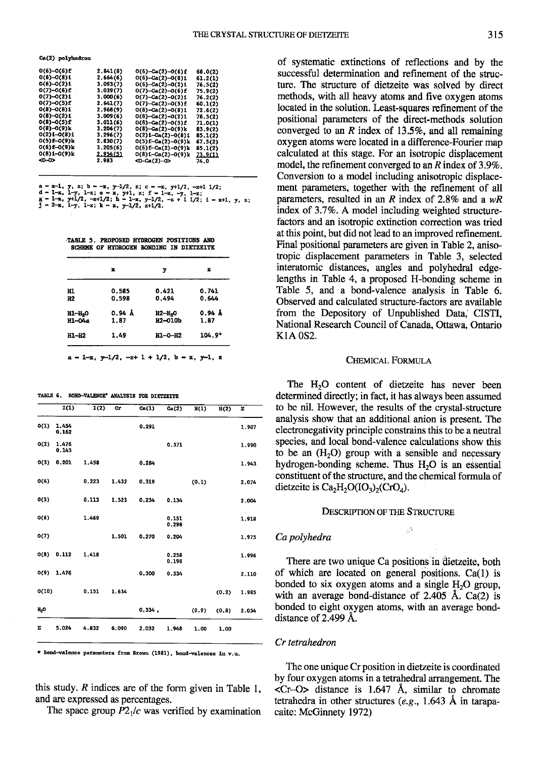Ca(2) polyhedron

| 0(6)-0(6)f   | 2,841(8) | $O(6)-Ca(2)-O(6)$ f          | 68.0(2) |  |
|--------------|----------|------------------------------|---------|--|
| 0(6)-0(8)1   | 2,664(6) | $O(6)-Ca(2)-O(8)1$           | 61.2(1) |  |
| 0(6)-0(2)1   | 3.093(7) | $0(6)-Ca(2)-O(2)1$           | 76.5(2) |  |
| 0(7)-0(6)£   | 3.039(7) | $0(7)-Ca(2)-0(6)$ £          | 75.9(2) |  |
| $0(7)-0(2)1$ | 3.000(6) | 0(7)-Ca(2)-0(2)1             | 76.2(2) |  |
| 0(7)-0(5)£   | 2.641(7) | $0(7) - Ca(2) - 0(5) f$      | 60.1(2) |  |
| 0(8)-0(8)1   | 2.968(9) | $0(8)-Ca(2)-0(8)1$           | 72.6(2) |  |
| 0(8)-0(2)1   | 3.009(6) | $0(8)-Ca(2)-0(2)1$           | 78.5(2) |  |
| 0(8)-0(5)£   | 3.011(6) | $0(8)-Ca(2)-0(5)$ £          | 71.0(1) |  |
| 0(8)-0(9)k   | 3.206(7) | $0(8)-Ga(2)-0(9)k$           | 83.9(2) |  |
| 0(2)1-0(8)1  | 3.296(7) | $0(2)$ i-Ca $(2)$ -0 $(8)$ i | 85.1(2) |  |
| 0(5)£-0(9)k  | 2.830(7) | $O(5)$ £-Ca $(2)$ -O $(9)$ k | 67.5(2) |  |
| 0(6)f-0(9)k  | 3.205(6) | $O(6)$ f-Ca $(2)$ -O $(9)$ k | 85.1(2) |  |
| 0(8)1-0(9)k  | 2.954(5) | 0(8)1-Ga(2)-0(9)k            | 73.9(1) |  |
| ∞∼           | 2.983    | $CD - Ca(2) - CD$            | 74.0    |  |
|              |          |                              |         |  |

a - x-1, y, z; b - -x, y-1/2, z; c - -x, y+1/2, -z+1 1/2;<br>d - 1-x, 1-y, 1-z; e - x, y+1, z; f - 1-x, -y, 1-z;<br>g - 1-x, y+1/2; -z+1/2; h - 1-x, y-1/2, -z + 1 1/2; i - x+1, y, z;<br>j - 2-x, 1-y, 1-z; k - x, y-1/2, z+1/2.

TABLE 5. PROPOSED HYDROGEN POSITIONS AND SCHEME OF HYDROGEN BONDING IN DIETZEITE

|                     | x      | y                   | z      |
|---------------------|--------|---------------------|--------|
| H1                  | 0.585  | 0.421               | 0.741  |
| H2                  | 0.598  | 0.494               | 0.644  |
| H1-H <sub>2</sub> 0 | 0.94 Å | H2-H <sub>2</sub> O | 0.94 Å |
| H1-04a              | 1.87   | <b>H2-010b</b>      | 1.87   |
| H1-H2               | 1.49   | ш-о-н2              | 104.9° |

TABLE 6. BOND-VALENCE\* ANALYSIS FOR DIETZEITE

|        |                | I(2)  | Cr    | Ca(1)  | Ca(2)          | H(1)     | $\overline{B(2)}$ | Σ     |
|--------|----------------|-------|-------|--------|----------------|----------|-------------------|-------|
| O(1)   | 1.454<br>0.162 |       |       | 0.291  |                |          |                   | 1.907 |
| O(2)   | 1.476<br>0.143 |       |       |        | 0.371          |          |                   | 1.990 |
| O(3)   | 0.201          | 1,458 |       | 0.284  |                |          |                   | 1.943 |
| O(4)   |                | 0.223 | 1.432 | 0.319  |                | (0,1)    |                   | 2.074 |
| O(5)   |                | 0.113 | 1.523 | 0.234  | 0.134          |          |                   | 2.004 |
| 0(6)   |                | 1.469 |       |        | 0.151<br>0.298 |          |                   | 1.918 |
| O(7)   |                |       | 1.501 | 0.270  | 0.204          |          |                   | 1.975 |
| O(3)   | 0.112          | 1.418 |       |        | 0.258<br>0.198 |          |                   | 1.996 |
| O(9)   | 1.476          |       |       | 0.300  | 0.334          |          |                   | 2.110 |
| O(10)  |                | 0.151 | 1.634 |        |                |          | (0.2)             | 1.985 |
| $H_2O$ |                |       |       | 0.334. |                | (0.9)    | (0.8)             | 2.034 |
| Σ      | 5.024          | 4.832 | 6.090 | 2.032  | 1.948          | $1.00 -$ | 1.00              |       |

\* Bond-valence parameters from Brown (1981), bond-valences in v.u.

this study.  $R$  indices are of the form given in Table 1, and are expressed as percentages.

The space group  $P2<sub>1</sub>/c$  was verified by examination

of systematic extinctions of reflections and by the successful determination and refinement of the structure. The structure of dietzeite was solved by direct methods, with all heavy atoms and five oxygen atoms located in the solution. Icast-squares refinement of the positional pammeters of the direct-methods solution converged to an  $R$  index of 13.5%, and all remaining oxygen atoms were located in a difference-Fourier map calculated at this stage. For an isotropic displacement model, the refinement converged to an  $R$  index of 3.9%. Conversion to a model including anisotropic displacement parameters, together with the refinement of all parameters, resulted in an R index of 2.8% and a  $wR$ index of 3.7%. A model including weighted structurefactors and an isotropic extinction correction was tried at this point, but did not lead to an improved refinement. Final positional parameters are given in Table 2, anisotropic displacement parameters in Table 3, selected interatomic distances, angles and polyhedral edgelengths in Table 4, a proposed H-bonding scheme in Table 5, and a bond-valence analysis in Table 6. Observed and calculated structure-factors are available from the Depository of Unpublished Data, CISTI, National Research Council of Canada, Ottawa, Ontario KIA OS2.

#### CHEMICAL FORMULA

The H<sub>2</sub>O content of dietzeite has never been determined directly; in fact, it has always been assumed to be nil. However, the results of the crystal-structure analysis show that an additional anion is present. The electronegativity principle constrains this to be a neutral species, and local bond-valence calculations show this to be an  $(H<sub>2</sub>O)$  group with a sensible and necessary hydrogen-bonding scheme. Thus  $H_2O$  is an essential constituent of the structure. and the chemical formula of dietzeite is  $Ca<sub>2</sub>H<sub>2</sub>O(IO<sub>3</sub>)<sub>2</sub>(CrO<sub>4</sub>)$ .

## DESCRIPTION OF THE STRUCTURE

i''

Ca polyhedra

There are two unique Ca positions in dietzeite, both of which are located on general positions.  $Ca(1)$  is bonded to six oxygen atoms and a single  $H<sub>2</sub>O$  group, with an average bond-distance of  $2.405$  Å. Ca(2) is bonded to eight oxygen atoms, with an average bonddistance of  $2.499$  Å.

## Cr tetrahedron

The one unique Crposition in dietzeite is coordinated by four oxygen atoms in a tetrahedral arrangement. The  $\langle$ Cr-O> distance is 1.647 Å, similar to chromate tetrahedra in other structures (e.g., 1.643 Å in tarapacaite: McGinnety 1972)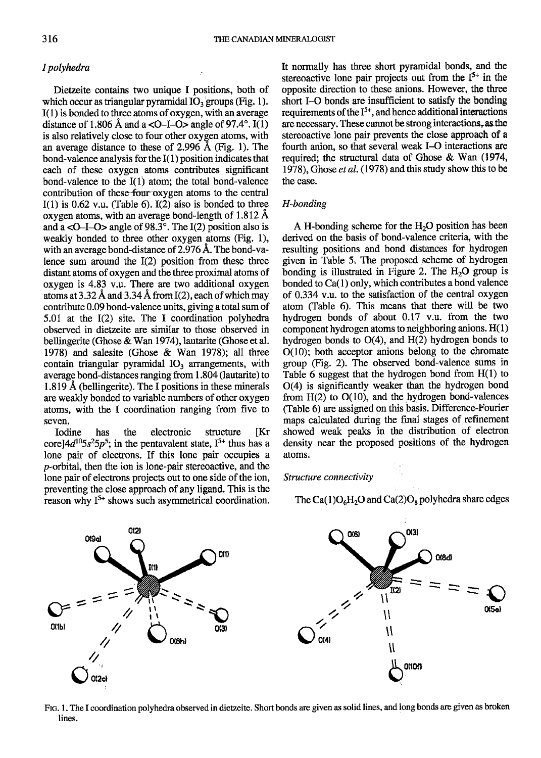# I polyhcdra

Dietzeite contains two unique I positions, both of which occur as triangular pyramidal  $IO<sub>3</sub>$  groups (Fig. 1).  $I(1)$  is bonded to three atoms of oxygen, with an average distance of 1.806 Å and a  $\langle$ O–I–O $>$  angle of 97.4°. I(1) is also relatively close to four other oxygen atoms, with an average distance to these of 2.996 A (Fig. 1). The bond-valence analysis for the  $I(1)$  position indicates that each of these oxygen atoms contributes significant bond-valence to the  $I(1)$  atom; the total bond-valence contribution of these four oxygen atoms to the central  $I(1)$  is 0.62 v.u. (Table 6).  $I(2)$  also is bonded to three oxygen atoms, with an average bond-length of 1.812 A and a  $\langle$ O-I-O $>$  angle of 98.3°. The I(2) position also is weakly bonded to three other oxygen atoms (Fig. 1), with an average bond-distance of  $2.976 \text{ Å}$ . The bond-valence sum around the I(2) position from these three distant atoms of oxygen and the three proximal atoms of oxygen is 4.83 v.u. There are two additional oxygen atoms at 3.32 Å and 3.34 Å from  $I(2)$ , each of which may contribute 0.09 bond-valence units, giving a total sum of 5.01 at the I(2) site. The I coordination polyhedra observed in dietzeite are similar to those observed in bellingerite (Ghose & Wan 1974), lautarite (Ghose et al. 1978) and salesite (Ghose & Wan 1978); all three contain triangular pyramidal  $IO<sub>3</sub>$  arrangements, with average bond-distances ranging from 1.804 (lautarite) to 1.819 A (bellingerite). The I positions in these minerals are weakly bonded to variable numbers of other oxygen atoms, with the I coordination ranging from five to seven.

Iodine has the electronic structure [Kr core] $4d^{10}5s^25p^5$ ; in the pentavalent state, I<sup>5+</sup> thus has a lone pair of electrons. If this lone pair occupies a p-orbital, then the ion is lone-pair stereoactive, and the lone pair of electrons projects out to one side of the ion, preventing the close approach of any ligand. This is the reason why  $I^{5+}$  shows such asymmetrical coordination. It normally has three short pyramidal bonds, and the stereoactive lone pair projects out from the  $I^{5+}$  in the opposite direction to these anions. However, the three short I-O bonds are insufficient to satisfy the bonding requirements of the  $I^{5+}$ , and hence additional interactions are necessary. These cannot be strong interactions, as the stereoactive lone pair prevents the close approach of a fourth anion, so that several weak I-O interactions are required; the structural data of Ghose & Wan (1974, 1978). Ghose *et al.* (1978) and this study show this to be the case.

# H-bonding

A H-bonding scheme for the  $H_2O$  position has been derived on the basis of bond-valence criteria, with the resulting positions and bond distances for hydrogen given in Table 5. The proposed scheme of hydrogen bonding is illustrated in Figure 2. The  $H_2O$  group is bonded to  $Ca(1)$  only, which contributes a bond valence of 0.334 v.u. to the satisfaction of the central oxygen atom (Table 6). This means that there will be two hydrogen bonds of about 0.17 v.u. from the two component hydrogen atoms to neighboring anions. H(1) hydrogen bonds to O(4), and H(2) hydrogen bonds to O(10); both acceptor anions belong to the chromate group (Fig. 2). The observed bond-valence sums in Table 6 suggest that the hydrogen bond from  $H(1)$  to O(4) is significantly weaker than the hydrogen bond from  $H(2)$  to  $O(10)$ , and the hydrogen bond-valences (Table 6) are assigned on this basis. Difference-Fourier maps calculated during the final stages of refinement showed weak peaks in the distribution of electron density near the proposed positions of the hydrogen atoms.

#### Structure connectivity

The Ca( $1$ )O<sub>6</sub>H<sub>2</sub>O and Ca( $2$ )O<sub>8</sub> polyhedra share edges



Frc. I . The I coordination polyhedra observed in dietzeite. Short bonds are given as solid lines, and long bonds are given as broken lines.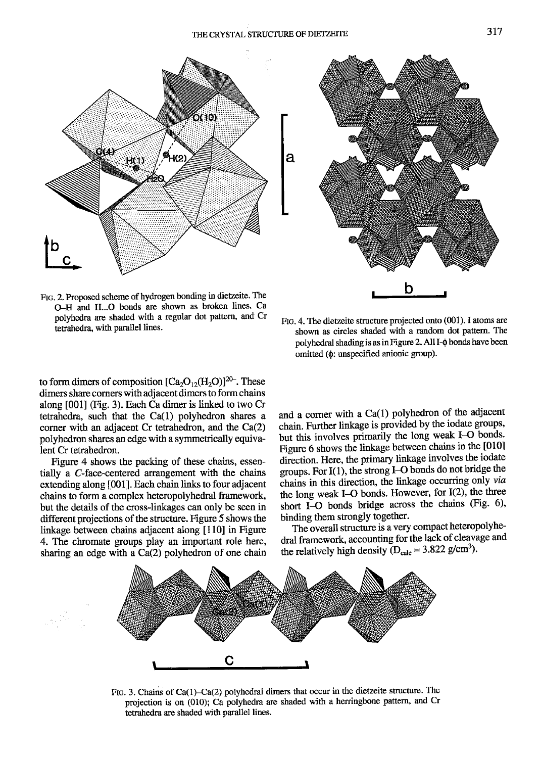



FIG. 2. Proposed scheme of hydrogen bonding in dietzeite. The O-H and H...O bonds are shown as broken lines. Ca polyhedra are shaded with a regular dot pattem, and Cr tetrahedra, with parallel lines.

to form dimers of composition  $[Ca_2O_{12}(H_2O)]^{20}$ . These dimers share corners with adjacent dimers to form chains along [001] (Fig. 3). Each Ca dimer is linked to two Cr tetrahedra, such that the Ca(l) polyhedron shares a corner with an adjacent Cr tetahedron, and the Ca(2) polyhedron shares an edge with a symmetrically equivalent Cr tetrahedron.

Figure 4 shows the packing of these chains, essentially a C-face-centered arrangement with the chains extending along [001]. Each chain links to four adjacent chains to form a complex heteropolyhedral framework, but the details of the cross-linkages can only be seen in different projections of the structure. Figure 5 shows the linkage between chains adjacent along [10] in Figure 4. The chromate groups play an important role here, sharing an edge with a Ca(2) polyhedron of one chain

FIG. 4. The dietzeite structure projected onto (001). I atoms are shown as circles shaded with a random dot pattem. The polyhedral shading is as in Figure 2. All I- $\phi$  bonds have been omitted (0: unspecified anionic group).

and a corner with a Ca(l) polyhedron of the adjacent chain. Further linkage is provided by the iodate groups, but this involves primarily the long weak I-O bonds. Figure 6 shows the linkage between chains in the [010] direction. Here, the primary linkage involves the iodate groups. For I( l), the strong I-O bonds do not bridge the chains in this direction, the linkage occurring only via the long weak I-O bonds. However, for  $I(2)$ , the three short I-O bonds bridge across the chains (Fig. 6), binding them strongly together.

The overall structure is a very compact heteropolyhedral framework, accounting for the lack of cleavage and the relatively high density ( $D_{calc} = 3.822$  g/cm<sup>3</sup>).



FIG. 3. Chains of Ca(1)-Ca(2) polyhedral dimers that occur in the dietzeite structure. The projection is on (010); Ca polyhedra are shaded with a herringbone pattern, and Cr tetrahedra are shaded with parallel lines.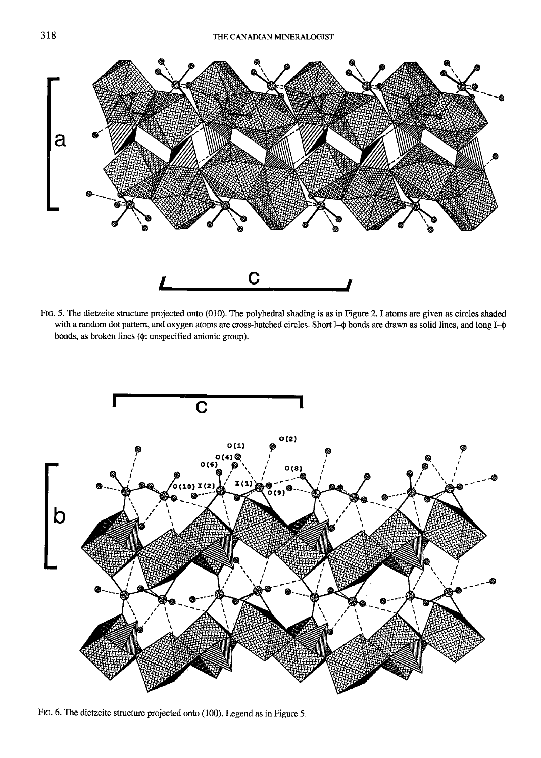

FIG. 5. The dietzeite structure projected onto (010). The polyhedral shading is as in Figure 2. I atoms are given as circles shaded with a random dot pattern, and oxygen atoms are cross-hatched circles. Short I- $\phi$  bonds are drawn as solid lines, and long I- $\phi$ bonds, as broken lines ( $\phi$ : unspecified anionic group).



FIG. 6. The dietzeite structure projected onto (100). Legend as in Figure 5.